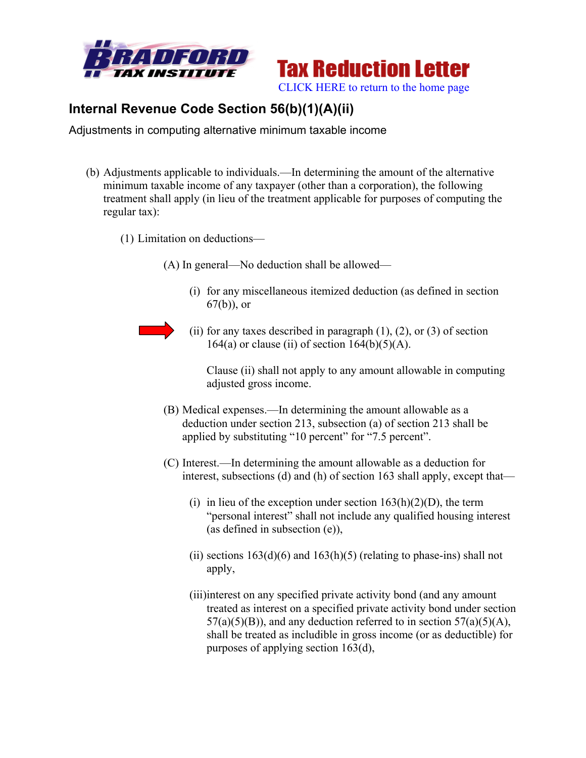



## **Internal Revenue Code Section 56(b)(1)(A)(ii)**

Adjustments in computing alternative minimum taxable income

- (b) Adjustments applicable to individuals.—In determining the amount of the alternative minimum taxable income of any taxpayer (other than a corporation), the following treatment shall apply (in lieu of the treatment applicable for purposes of computing the regular tax):
	- (1) Limitation on deductions—

(A) In general—No deduction shall be allowed—

- (i) for any miscellaneous itemized deduction (as defined in section 67(b)), or
- 
- (ii) for any taxes described in paragraph  $(1)$ ,  $(2)$ , or  $(3)$  of section 164(a) or clause (ii) of section  $164(b)(5)(A)$ .

Clause (ii) shall not apply to any amount allowable in computing adjusted gross income.

- (B) Medical expenses.—In determining the amount allowable as a deduction under section 213, subsection (a) of section 213 shall be applied by substituting "10 percent" for "7.5 percent".
- (C) Interest.—In determining the amount allowable as a deduction for interest, subsections (d) and (h) of section 163 shall apply, except that—
	- (i) in lieu of the exception under section  $163(h)(2)(D)$ , the term "personal interest" shall not include any qualified housing interest (as defined in subsection (e)),
	- (ii) sections  $163(d)(6)$  and  $163(h)(5)$  (relating to phase-ins) shall not apply,
	- (iii)interest on any specified private activity bond (and any amount treated as interest on a specified private activity bond under section  $57(a)(5)(B)$ , and any deduction referred to in section  $57(a)(5)(A)$ , shall be treated as includible in gross income (or as deductible) for purposes of applying section 163(d),